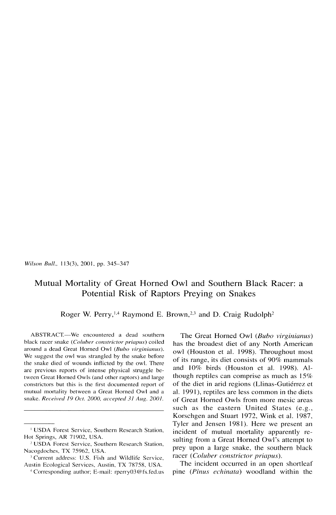*Wilson Bull.,* 113(3), 2001, pp. 345-347

## Mutual Mortality of Great Horned Owl and Southern Black Racer: a Potential Risk of Raptors Preying on Snakes

Roger W. Perry,<sup>1,4</sup> Raymond E. Brown,<sup>2,3</sup> and D. Craig Rudolph<sup>2</sup>

ABSTRACT.-We encountered a dead southern black racer snake *(Coluber constrictor priapus)* coiled around a dead Great Horned Owl *(Bubo virginianus).*  We suggest the owl was strangled by the snake before the snake died of wounds inflicted by the owl. There are previous reports of intense physical struggle between Great Horned Owls (and other raptors) and large constrictors but this is the first documented report of mutual mortality between a Great Horned Owl and a snake. *Received 19 Oct. 2000, accepted 31 Aug. 2001*.

The Great Horned Owl *(Bubo virginianus)* has the broadest diet of any North American owl (Houston et al. 1998). Throughout most of its range, its diet consists of 90% mammals and  $10\%$  birds (Houston et al. 1998). Although reptiles can comprise as much as 15% of the diet in arid regions (Llinas-Gutiérrez et al. 1991 ), reptiles are less common in the diets of Great Horned Owls from more mesic areas such as the eastern United States (e.g., Korschgen and Stuart 1972, Wink et al. 1987, Tyler and Jensen 1981). Here we present an incident of mutual mortality apparently resulting from a Great Horned Owl's attempt to prey upon a large snake, the southern black racer *(Co!uher constrictor priapus).* 

The incident occurred in an open shortleaf pine *(Pinus echinata)* woodland within the

<sup>1</sup>USDA Forest Service, Southern Research Station, Hot Springs, AR 71902, USA.

*<sup>2</sup>*USDA forest Service, Southern Research Station, Nacogdoches, TX 75962, USA.

<sup>&</sup>lt;sup>3</sup> Current address: U.S. Fish and Wildlife Service, Austin Ecological Services, Austin, TX 78758, USA.

<sup>&</sup>lt;sup>4</sup> Corresponding author; E-mail: rperry03@fs.fed.us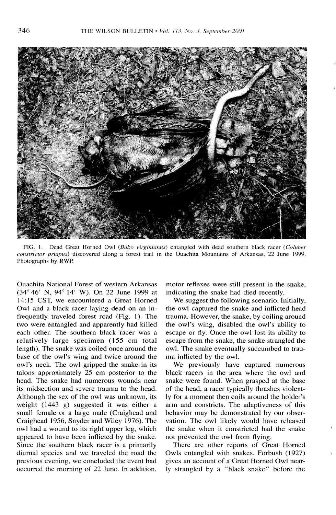

FIG. 1. Dead Great Horned Owl *(Bubo virginianus)* entangled with dead southern black racer *(Coluber constrictor priapus)* discovered along a forest trail in the Ouachita Mountains of Arkansas, 22 June 1999. Photographs by RWP.

Ouachita National Forest of western Arkansas (34° 46' N, 94° 14' W). On 22 June 1999 at 14: 15 CST, we encountered a Great Horned Owl and a black racer laying dead on an infrequently traveled forest road (Fig. 1). The two were entangled and apparently had killed each other. The southern black racer was a relatively large specimen (155 cm total length). The snake was coiled once around the base of the owl's wing and twice around the owl's neck. The owl gripped the snake in its talons approximately 25 cm posterior to the head. The snake had numerous wounds near its midsection and severe trauma to the head. Although the sex of the owl was unknown, its weight (1443 g) suggested it was either a small female or a large male (Craighead and Craighead 1956, Snyder and Wiley 1976). The owl had a wound to its right upper leg, which appeared to have been inflicted by the snake. Since the southern black racer is a primarily diurnal species and we traveled the road the previous evening, we concluded the event had occurred the morning of 22 June. In addition,

motor reflexes were still present in the snake, indicating the snake had died recently.

We suggest the following scenario. Initially, the owl captured the snake and inflicted head trauma. However, the snake, by coiling around the owl's wing, disabled the owl's ability to escape or fly. Once the owl lost its ability to escape from the snake, the snake strangled the owl. The snake eventually succumbed to trauma inflicted by the owl.

We previously have captured numerous black racers in the area where the owl and snake were found. When grasped at the base of the head, a racer typically thrashes violently for a moment then coils around the holder's arm and constricts. The adaptiveness of this behavior may be demonstrated by our observation. The owl likely would have released the snake when it constricted had the snake not prevented the owl from flying.

There are other reports of Great Homed Owls entangled with snakes. Forbush (1927) gives an account of a Great Homed Owl nearly strangled by a "black snake" before the